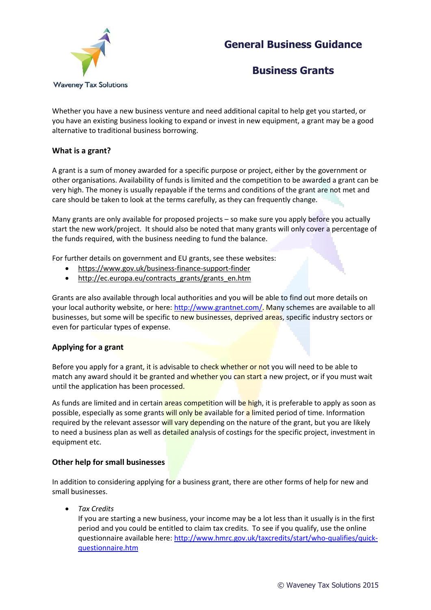# **General Business Guidance**



### **Business Grants**

Whether you have a new business venture and need additional capital to help get you started, or you have an existing business looking to expand or invest in new equipment, a grant may be a good alternative to traditional business borrowing.

#### **What is a grant?**

A grant is a sum of money awarded for a specific purpose or project, either by the government or other organisations. Availability of funds is limited and the competition to be awarded a grant can be very high. The money is usually repayable if the terms and conditions of the grant are not met and care should be taken to look at the terms carefully, as they can frequently change.

Many grants are only available for proposed projects – so make sure you apply before you actually start the new work/project. It should also be noted that many grants will only cover a percentage of the funds required, with the business needing to fund the balance.

For further details on government and EU grants, see these websites:

- <https://www.gov.uk/business-finance-support-finder>
- [http://ec.europa.eu/contracts\\_grants/grants\\_en.htm](http://ec.europa.eu/contracts_grants/grants_en.htm)

Grants are also available through local authorities and you will be able to find out more details on your local authority website, or here: [http://www.grantnet.com/.](http://www.grantnet.com/) Many schemes are available to all businesses, but some will be specific to new businesses, deprived areas, specific industry sectors or even for particular types of expense.

#### **Applying for a grant**

Before you apply for a grant, it is advisable to check whether or not you will need to be able to match any award should it be granted and whether you can start a new project, or if you must wait until the application has been processed.

As funds are limited and in certain areas competition will be high, it is preferable to apply as soon as possible, especially as some grants will only be available for a limited period of time. Information required by the relevant assessor will vary depending on the nature of the grant, but you are likely to need a business plan as well as detailed analysis of costings for the specific project, investment in equipment etc.

#### **Other help for small businesses**

In addition to considering applying for a business grant, there are other forms of help for new and small businesses.

*Tax Credits*

If you are starting a new business, your income may be a lot less than it usually is in the first period and you could be entitled to claim tax credits. To see if you qualify, use the online questionnaire available here[: http://www.hmrc.gov.uk/taxcredits/start/who-qualifies/quick](http://www.hmrc.gov.uk/taxcredits/start/who-qualifies/quick-questionnaire.htm)[questionnaire.htm](http://www.hmrc.gov.uk/taxcredits/start/who-qualifies/quick-questionnaire.htm)